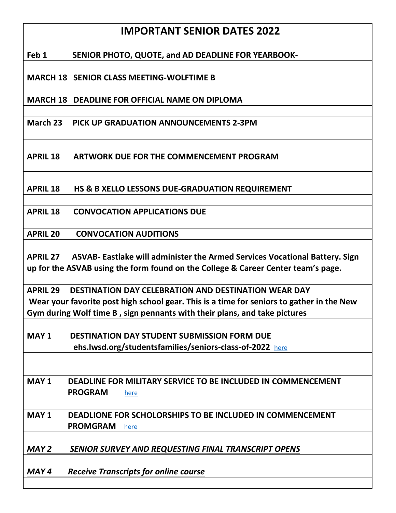# **IMPORTANT SENIOR DATES 2022**

**Feb 1 SENIOR PHOTO, QUOTE, and AD DEADLINE FOR YEARBOOK-**

**MARCH 18 SENIOR CLASS MEETING-WOLFTIME B**

**MARCH 18 DEADLINE FOR OFFICIAL NAME ON DIPLOMA**

**March 23 PICK UP GRADUATION ANNOUNCEMENTS 2-3PM** 

**APRIL 18 ARTWORK DUE FOR THE COMMENCEMENT PROGRAM**

**APRIL 18 HS & B XELLO LESSONS DUE-GRADUATION REQUIREMENT**

**APRIL 18 CONVOCATION APPLICATIONS DUE**

**APRIL 20 CONVOCATION AUDITIONS** 

**APRIL 27 ASVAB- Eastlake will administer the Armed Services Vocational Battery. Sign up for the ASVAB using the form found on the College & Career Center team's page.** 

**APRIL 29 DESTINATION DAY CELEBRATION AND DESTINATION WEAR DAY**

**Wear your favorite post high school gear. This is a time for seniors to gather in the New Gym during Wolf time B , sign pennants with their plans, and take pictures**

**MAY 1 DESTINATION DAY STUDENT SUBMISSION FORM DUE ehs.lwsd.org/studentsfamilies/seniors-class-of-2022** [here](https://nam02.safelinks.protection.outlook.com/?url=https%3A%2F%2Fforms.office.com%2FPages%2FResponsePage.aspx%3Fid%3DP2fUH5bfIUaGOKHYjEyF11cUua05KFhGmTiDGB_H0uJUNThBNkVKMjZERk04VEFMRU5LNEtKQU5LRi4u&data=04%7C01%7Ckholmberg%40lwsd.org%7C31157fb6888b4aca47e308d9fb9d92c2%7C1fd4673fdf9646218638a1d88c4c85d7%7C0%7C0%7C637817476456412630%7CUnknown%7CTWFpbGZsb3d8eyJWIjoiMC4wLjAwMDAiLCJQIjoiV2luMzIiLCJBTiI6Ik1haWwiLCJXVCI6Mn0%3D%7C3000&sdata=ahFBawIs2VE80btKOVKaWaiHE17ue2MItYzc750PPPw%3D&reserved=0)

**MAY 1 DEADLINE FOR MILITARY SERVICE TO BE INCLUDED IN COMMENCEMENT** 

 **PROGRAM** [here](https://nam02.safelinks.protection.outlook.com/?url=https%3A%2F%2Fforms.office.com%2FPages%2FResponsePage.aspx%3Fid%3DP2fUH5bfIUaGOKHYjEyF11cUua05KFhGmTiDGB_H0uJUMzdXQjZCMzNBRTRXWk5VQUpVSFVRU1hUWC4u&data=04%7C01%7Ckholmberg%40lwsd.org%7C31157fb6888b4aca47e308d9fb9d92c2%7C1fd4673fdf9646218638a1d88c4c85d7%7C0%7C0%7C637817476456412630%7CUnknown%7CTWFpbGZsb3d8eyJWIjoiMC4wLjAwMDAiLCJQIjoiV2luMzIiLCJBTiI6Ik1haWwiLCJXVCI6Mn0%3D%7C3000&sdata=z8I2wAx8x0YOnoPy33ePT75Yj9g2rz8psa8ytHB2H9Q%3D&reserved=0)

**MAY 1 DEADLIONE FOR SCHOLORSHIPS TO BE INCLUDED IN COMMENCEMENT PROMGRAM** [here](https://nam02.safelinks.protection.outlook.com/?url=https%3A%2F%2Fforms.office.com%2FPages%2FResponsePage.aspx%3Fid%3DP2fUH5bfIUaGOKHYjEyF11cUua05KFhGmTiDGB_H0uJUQlJQQkYxTkhOUTM4VFo1V0pWMDYyQkw2NC4u&data=04%7C01%7Ckholmberg%40lwsd.org%7C31157fb6888b4aca47e308d9fb9d92c2%7C1fd4673fdf9646218638a1d88c4c85d7%7C0%7C0%7C637817476456412630%7CUnknown%7CTWFpbGZsb3d8eyJWIjoiMC4wLjAwMDAiLCJQIjoiV2luMzIiLCJBTiI6Ik1haWwiLCJXVCI6Mn0%3D%7C3000&sdata=WGVRC9rtqlnosNYCYrTK4kIvW0ERE1DKFdwL4dPmMF8%3D&reserved=0) 

*MAY 2 SENIOR SURVEY AND REQUESTING FINAL TRANSCRIPT OPENS*

*MAY 4 Receive Transcripts for online course*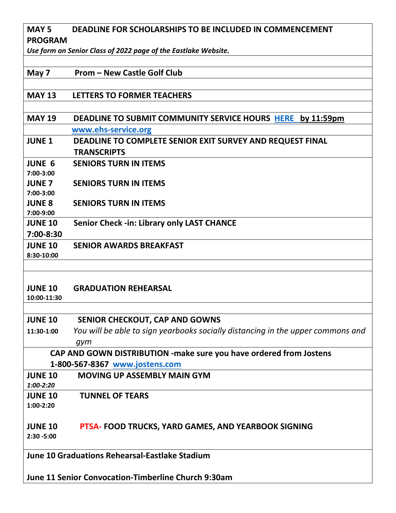## **MAY 5 DEADLINE FOR SCHOLARSHIPS TO BE INCLUDED IN COMMENCEMENT PROGRAM**

*Use form on Senior Class of 2022 page of the Eastlake Website.*

#### **May 7 Prom – New Castle Golf Club**

#### **MAY 13 LETTERS TO FORMER TEACHERS**

## **MAY 19 DEADLINE TO SUBMIT COMMUNITY SERVICE HOURS [HERE](https://ehs.lwsd.org/studentsfamilies/community-service-program) by 11:59pm [www.ehs-service.org](http://www.ehs-service.org/)**

# **JUNE 1 DEADLINE TO COMPLETE SENIOR EXIT SURVEY AND REQUEST FINAL TRANSCRIPTS**

- **JUNE 6 SENIORS TURN IN ITEMS**
- **JUNE 7 SENIORS TURN IN ITEMS**

**7:00-3:00**

**7:00-3:00**

**JUNE 8 SENIORS TURN IN ITEMS** 

**7:00-9:00** 

**JUNE 10 Senior Check -in: Library only LAST CHANCE**

**7:00-8:30**

**JUNE 10 SENIOR AWARDS BREAKFAST** 

**8:30-10:00**

#### **JUNE 10 GRADUATION REHEARSAL**

**10:00-11:30**

#### **JUNE 10 SENIOR CHECKOUT, CAP AND GOWNS**

**11:30-1:00** *You will be able to sign yearbooks socially distancing in the upper commons and gym* 

## **CAP AND GOWN DISTRIBUTION -make sure you have ordered from Jostens 1-800-567-8367 [www.jostens.com](http://www.jostens.com/)**

**JUNE 10 MOVING UP ASSEMBLY MAIN GYM** *1:00-2:20* **JUNE 10 TUNNEL OF TEARS 1:00-2:20**

# **JUNE 10 PTSA- FOOD TRUCKS, YARD GAMES, AND YEARBOOK SIGNING**

**2:30 -5:00**

**June 10 Graduations Rehearsal-Eastlake Stadium**

**June 11 Senior Convocation-Timberline Church 9:30am**